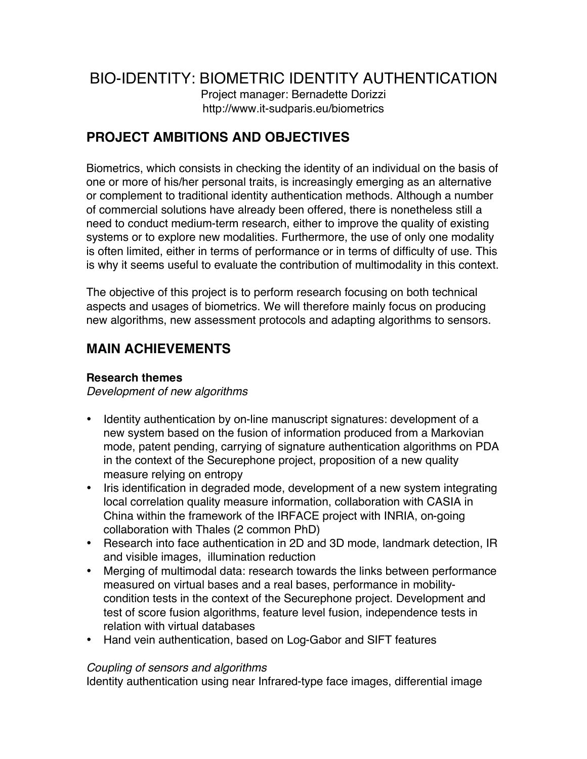# BIO-IDENTITY: BIOMETRIC IDENTITY AUTHENTICATION

Project manager: Bernadette Dorizzi http://www.it-sudparis.eu/biometrics

# **PROJECT AMBITIONS AND OBJECTIVES**

Biometrics, which consists in checking the identity of an individual on the basis of one or more of his/her personal traits, is increasingly emerging as an alternative or complement to traditional identity authentication methods. Although a number of commercial solutions have already been offered, there is nonetheless still a need to conduct medium-term research, either to improve the quality of existing systems or to explore new modalities. Furthermore, the use of only one modality is often limited, either in terms of performance or in terms of difficulty of use. This is why it seems useful to evaluate the contribution of multimodality in this context.

The objective of this project is to perform research focusing on both technical aspects and usages of biometrics. We will therefore mainly focus on producing new algorithms, new assessment protocols and adapting algorithms to sensors.

# **MAIN ACHIEVEMENTS**

### **Research themes**

*Development of new algorithms* 

- Identity authentication by on-line manuscript signatures: development of a new system based on the fusion of information produced from a Markovian mode, patent pending, carrying of signature authentication algorithms on PDA in the context of the Securephone project, proposition of a new quality measure relying on entropy
- Iris identification in degraded mode, development of a new system integrating local correlation quality measure information, collaboration with CASIA in China within the framework of the IRFACE project with INRIA, on-going collaboration with Thales (2 common PhD)
- Research into face authentication in 2D and 3D mode, landmark detection, IR and visible images, illumination reduction
- Merging of multimodal data: research towards the links between performance measured on virtual bases and a real bases, performance in mobilitycondition tests in the context of the Securephone project. Development and test of score fusion algorithms, feature level fusion, independence tests in relation with virtual databases
- Hand vein authentication, based on Log-Gabor and SIFT features

### *Coupling of sensors and algorithms*

Identity authentication using near Infrared-type face images, differential image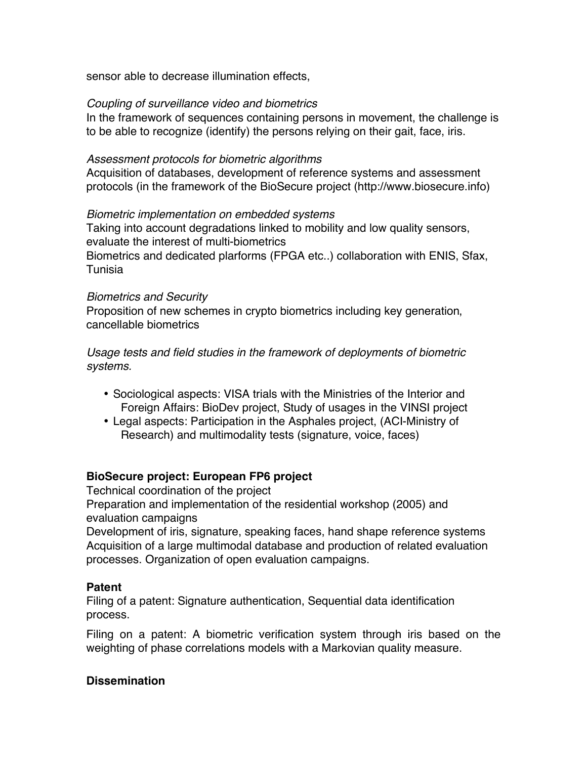sensor able to decrease illumination effects,

#### *Coupling of surveillance video and biometrics*

In the framework of sequences containing persons in movement, the challenge is to be able to recognize (identify) the persons relying on their gait, face, iris.

#### *Assessment protocols for biometric algorithms*

Acquisition of databases, development of reference systems and assessment protocols (in the framework of the BioSecure project (http://www.biosecure.info)

#### *Biometric implementation on embedded systems*

Taking into account degradations linked to mobility and low quality sensors, evaluate the interest of multi-biometrics Biometrics and dedicated plarforms (FPGA etc..) collaboration with ENIS, Sfax, Tunisia

#### *Biometrics and Security*

Proposition of new schemes in crypto biometrics including key generation, cancellable biometrics

*Usage tests and field studies in the framework of deployments of biometric systems.*

- Sociological aspects: VISA trials with the Ministries of the Interior and Foreign Affairs: BioDev project, Study of usages in the VINSI project
- Legal aspects: Participation in the Asphales project, (ACI-Ministry of Research) and multimodality tests (signature, voice, faces)

#### **BioSecure project: European FP6 project**

Technical coordination of the project

Preparation and implementation of the residential workshop (2005) and evaluation campaigns

Development of iris, signature, speaking faces, hand shape reference systems Acquisition of a large multimodal database and production of related evaluation processes. Organization of open evaluation campaigns.

#### **Patent**

Filing of a patent: Signature authentication, Sequential data identification process.

Filing on a patent: A biometric verification system through iris based on the weighting of phase correlations models with a Markovian quality measure.

#### **Dissemination**